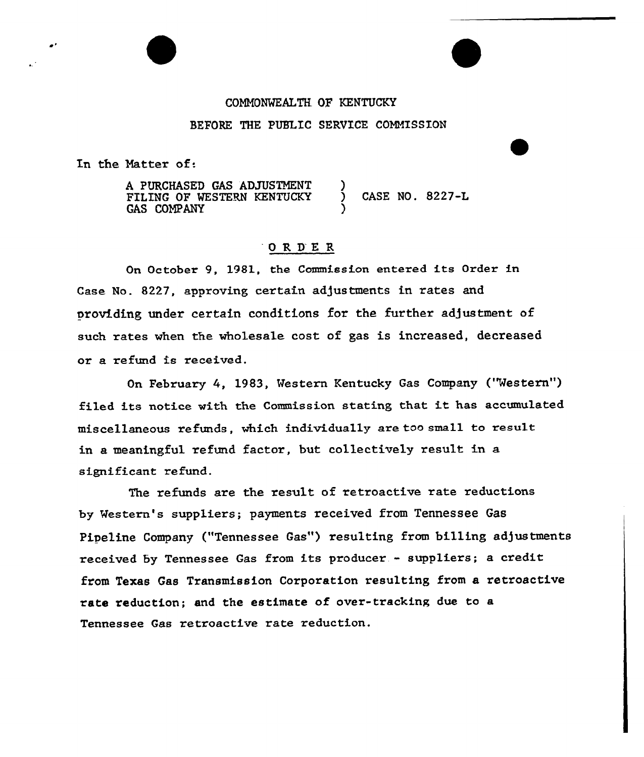## COMM0%EALTE OF KENTUCKY BEFORE THE PUBLIC SERVICE COMMISSION

In the Natter of.

A PURCHASED GAS ADJUSTMENT FILING OF WESTERN KENTUCKY GAS COMPANY ) ) CASE NO. 8227-L )

## 'ORDE <sup>R</sup>

On October 9, 1981, the Commission entered its Order in Case No. 8227, approving certain adjustments in rates and providing under certain conditions for the further adjustment of such rates when the wholesale cost of gas is increased, decreased or a refund is received.

On February 4, 1983, Western Kentucky Gas Company ("Western") filed its notice with the Commission stating that it has accumulated miscellaneous refunds, which individually are too small to result in a meaningful refund factor, but collectively result in a significant refund.

The refunds are the result of retroactive rate reductions by western's suppliers; payments received from Tennessee Gas Pipeline Company ("Tennessee Gas") resulting from billing adjustments received by Tennessee Gas from its producer. - suppliers; <sup>a</sup> credit from Texas Gas Transmission Corporation resulting from a retroactive rate reduction; and the estimate of over-tracking due to a Tennessee Gas retroactive rate reduction.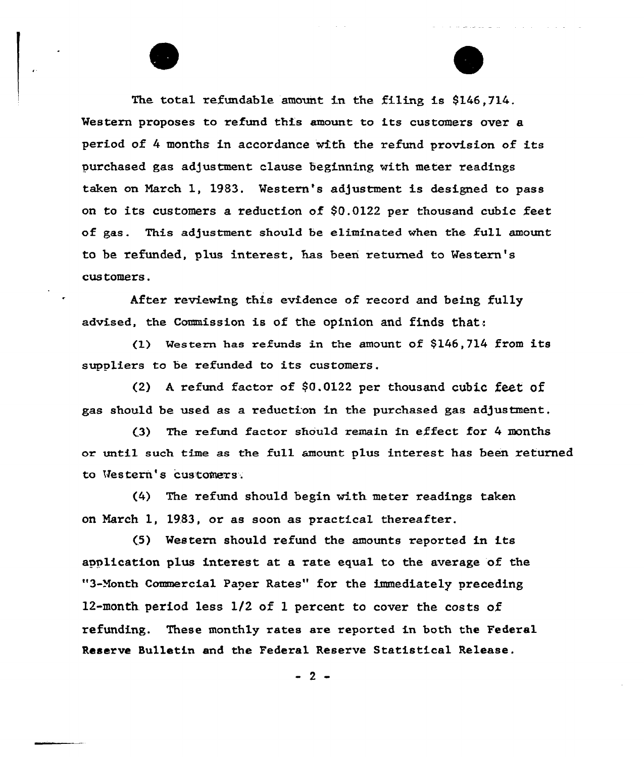The total refundable amount in the filing is  $$146.714$ . Western proposes to refund this amount to its customers over a period of 4 months in accordance with the refund provision of its purchased gas adjustment clause beginning with meter readings taken on March 1, 1983. Western's adjustment is designed to pass on to its customers a reduction of \$0.0122 per thousand cubic feet of gas. This adjustment should be eliminated when the full amount to be refunded, plus interest, has been returned to western's cus tomers.

After reviewing this evidence of record and being fully advised, the Commission is of the opinion and finds that'.

(1) Western has refunds in the amount of \$146,714 from its suppliers to be refunded to its customers.

(2) <sup>A</sup> refund factor of \$0.0122 per thousand cubic feet of gas should be used as a reduction in the purchased gas adjustment.

(3) The refund factor should remain in effect for 4 months or until such thne as the fu11 amount plus interest has been returned to Western's customers.

 $(4)$  The refund should begin with meter readings taken on March 1, 1983, or as soon as practical thereafter.

(5) Western should refund the amounts reported in its application plus interest at a rate equal to the average of the "3-month Commercial Paper Rates" for the immediately preceding 12-month. period less 1/2 of 1 percent to cover the costs of refunding. These monthly rates are reported in both the Federal Reserve Bulletin and the Federal Reserve Statistical Release.

 $-2-$